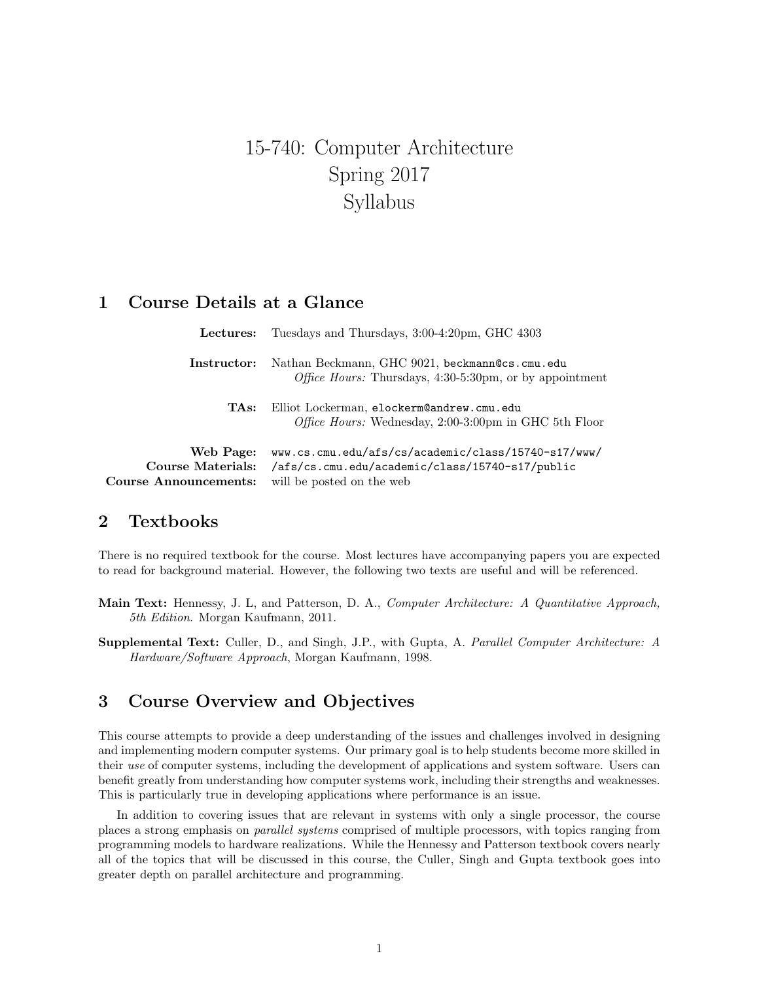# 15-740: Computer Architecture Spring 2017 Syllabus

## 1 Course Details at a Glance

| Lectures:                                          | Tuesdays and Thursdays, 3:00-4:20pm, GHC 4303                                                                                       |
|----------------------------------------------------|-------------------------------------------------------------------------------------------------------------------------------------|
| Instructor:                                        | Nathan Beckmann, GHC 9021, beckmann@cs.cmu.edu<br><i>Office Hours:</i> Thursdays, $4:30-5:30$ pm, or by appointment                 |
| TAs:                                               | Elliot Lockerman, elockerm@andrew.cmu.edu<br><i>Office Hours:</i> Wednesday, 2:00-3:00pm in GHC 5th Floor                           |
| Web Page:<br>Course Materials:<br>e Announcements: | www.cs.cmu.edu/afs/cs/academic/class/15740-s17/www/<br>/afs/cs.cmu.edu/academic/class/15740-s17/public<br>will be posted on the web |

## 2 Textbooks

Course

There is no required textbook for the course. Most lectures have accompanying papers you are expected to read for background material. However, the following two texts are useful and will be referenced.

- Main Text: Hennessy, J. L, and Patterson, D. A., Computer Architecture: A Quantitative Approach, 5th Edition. Morgan Kaufmann, 2011.
- Supplemental Text: Culler, D., and Singh, J.P., with Gupta, A. Parallel Computer Architecture: A Hardware/Software Approach, Morgan Kaufmann, 1998.

# 3 Course Overview and Objectives

This course attempts to provide a deep understanding of the issues and challenges involved in designing and implementing modern computer systems. Our primary goal is to help students become more skilled in their use of computer systems, including the development of applications and system software. Users can benefit greatly from understanding how computer systems work, including their strengths and weaknesses. This is particularly true in developing applications where performance is an issue.

In addition to covering issues that are relevant in systems with only a single processor, the course places a strong emphasis on parallel systems comprised of multiple processors, with topics ranging from programming models to hardware realizations. While the Hennessy and Patterson textbook covers nearly all of the topics that will be discussed in this course, the Culler, Singh and Gupta textbook goes into greater depth on parallel architecture and programming.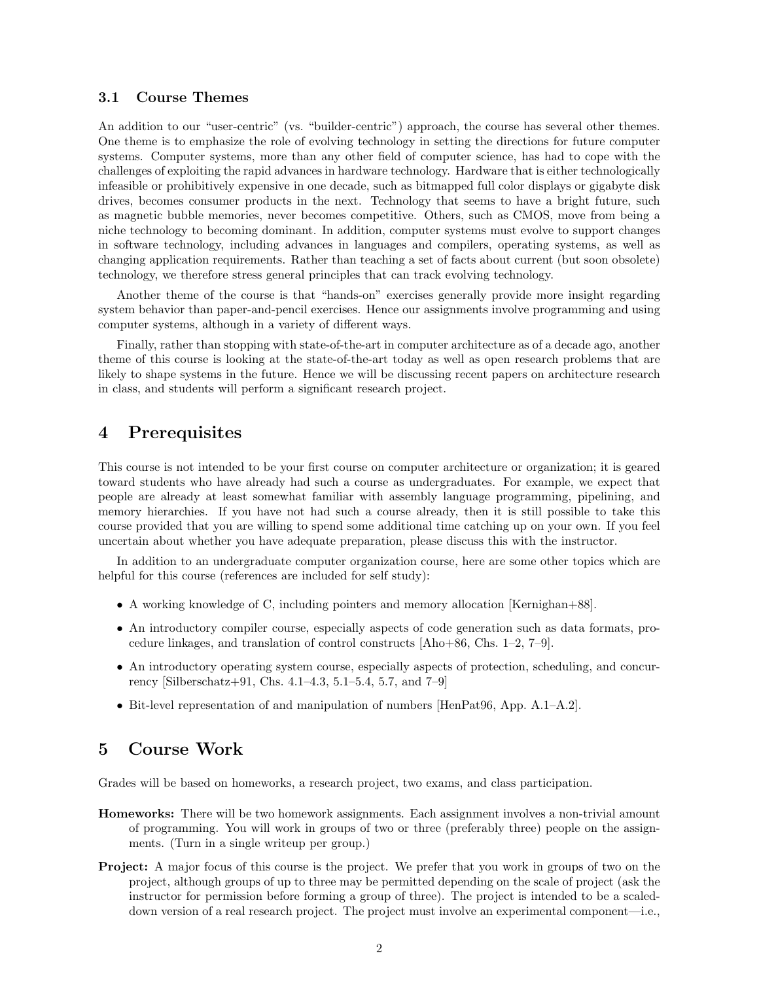#### 3.1 Course Themes

An addition to our "user-centric" (vs. "builder-centric") approach, the course has several other themes. One theme is to emphasize the role of evolving technology in setting the directions for future computer systems. Computer systems, more than any other field of computer science, has had to cope with the challenges of exploiting the rapid advances in hardware technology. Hardware that is either technologically infeasible or prohibitively expensive in one decade, such as bitmapped full color displays or gigabyte disk drives, becomes consumer products in the next. Technology that seems to have a bright future, such as magnetic bubble memories, never becomes competitive. Others, such as CMOS, move from being a niche technology to becoming dominant. In addition, computer systems must evolve to support changes in software technology, including advances in languages and compilers, operating systems, as well as changing application requirements. Rather than teaching a set of facts about current (but soon obsolete) technology, we therefore stress general principles that can track evolving technology.

Another theme of the course is that "hands-on" exercises generally provide more insight regarding system behavior than paper-and-pencil exercises. Hence our assignments involve programming and using computer systems, although in a variety of different ways.

Finally, rather than stopping with state-of-the-art in computer architecture as of a decade ago, another theme of this course is looking at the state-of-the-art today as well as open research problems that are likely to shape systems in the future. Hence we will be discussing recent papers on architecture research in class, and students will perform a significant research project.

### 4 Prerequisites

This course is not intended to be your first course on computer architecture or organization; it is geared toward students who have already had such a course as undergraduates. For example, we expect that people are already at least somewhat familiar with assembly language programming, pipelining, and memory hierarchies. If you have not had such a course already, then it is still possible to take this course provided that you are willing to spend some additional time catching up on your own. If you feel uncertain about whether you have adequate preparation, please discuss this with the instructor.

In addition to an undergraduate computer organization course, here are some other topics which are helpful for this course (references are included for self study):

- A working knowledge of C, including pointers and memory allocation [Kernighan+88].
- An introductory compiler course, especially aspects of code generation such as data formats, procedure linkages, and translation of control constructs [Aho+86, Chs. 1–2, 7–9].
- An introductory operating system course, especially aspects of protection, scheduling, and concurrency [Silberschatz+91, Chs. 4.1–4.3, 5.1–5.4, 5.7, and 7–9]
- Bit-level representation of and manipulation of numbers [HenPat96, App. A.1–A.2].

## 5 Course Work

Grades will be based on homeworks, a research project, two exams, and class participation.

- **Homeworks:** There will be two homework assignments. Each assignment involves a non-trivial amount of programming. You will work in groups of two or three (preferably three) people on the assignments. (Turn in a single writeup per group.)
- Project: A major focus of this course is the project. We prefer that you work in groups of two on the project, although groups of up to three may be permitted depending on the scale of project (ask the instructor for permission before forming a group of three). The project is intended to be a scaleddown version of a real research project. The project must involve an experimental component—i.e.,